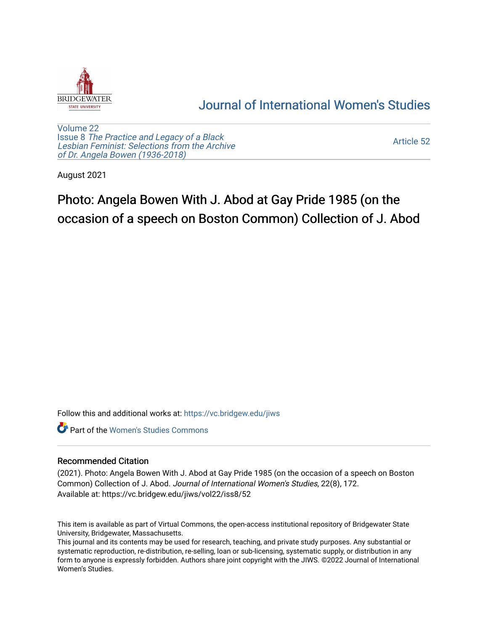

## [Journal of International Women's Studies](https://vc.bridgew.edu/jiws)

[Volume 22](https://vc.bridgew.edu/jiws/vol22) Issue 8 [The Practice and Legacy of a Black](https://vc.bridgew.edu/jiws/vol22/iss8)  [Lesbian Feminist: Selections from the Archive](https://vc.bridgew.edu/jiws/vol22/iss8)  [of Dr. Angela Bowen \(1936-2018\)](https://vc.bridgew.edu/jiws/vol22/iss8)

[Article 52](https://vc.bridgew.edu/jiws/vol22/iss8/52) 

August 2021

## Photo: Angela Bowen With J. Abod at Gay Pride 1985 (on the occasion of a speech on Boston Common) Collection of J. Abod

Follow this and additional works at: [https://vc.bridgew.edu/jiws](https://vc.bridgew.edu/jiws?utm_source=vc.bridgew.edu%2Fjiws%2Fvol22%2Fiss8%2F52&utm_medium=PDF&utm_campaign=PDFCoverPages)

**C** Part of the Women's Studies Commons

## Recommended Citation

(2021). Photo: Angela Bowen With J. Abod at Gay Pride 1985 (on the occasion of a speech on Boston Common) Collection of J. Abod. Journal of International Women's Studies, 22(8), 172. Available at: https://vc.bridgew.edu/jiws/vol22/iss8/52

This item is available as part of Virtual Commons, the open-access institutional repository of Bridgewater State University, Bridgewater, Massachusetts.

This journal and its contents may be used for research, teaching, and private study purposes. Any substantial or systematic reproduction, re-distribution, re-selling, loan or sub-licensing, systematic supply, or distribution in any form to anyone is expressly forbidden. Authors share joint copyright with the JIWS. ©2022 Journal of International Women's Studies.